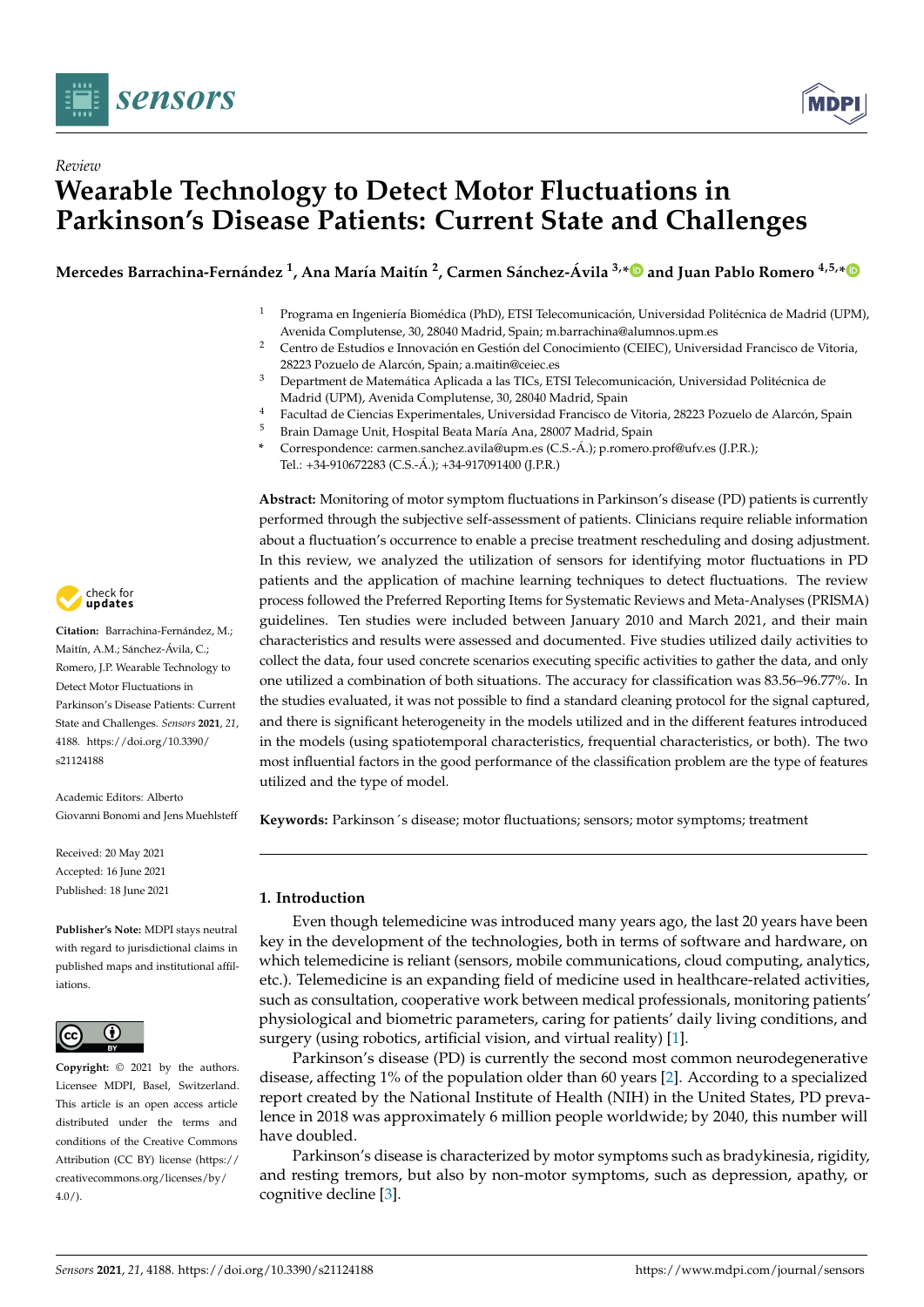

*Review*



# **Wearable Technology to Detect Motor Fluctuations in Parkinson's Disease Patients: Current State and Challenges**

Mercedes Barrachina-Fernández <sup>1</sup>, Ana María Maitín <sup>2</sup>, Carmen Sánchez-Ávila <sup>3,</sup>[\\*](https://orcid.org/0000-0002-3190-1296)D and Juan Pablo Romero <sup>4,5,</sup>\*

- <sup>1</sup> Programa en Ingeniería Biomédica (PhD), ETSI Telecomunicación, Universidad Politécnica de Madrid (UPM), Avenida Complutense, 30, 28040 Madrid, Spain; m.barrachina@alumnos.upm.es
- <sup>2</sup> Centro de Estudios e Innovación en Gestión del Conocimiento (CEIEC), Universidad Francisco de Vitoria, 28223 Pozuelo de Alarcón, Spain; a.maitin@ceiec.es
- <sup>3</sup> Department de Matemática Aplicada a las TICs, ETSI Telecomunicación, Universidad Politécnica de Madrid (UPM), Avenida Complutense, 30, 28040 Madrid, Spain
- <sup>4</sup> Facultad de Ciencias Experimentales, Universidad Francisco de Vitoria, 28223 Pozuelo de Alarcón, Spain
- <sup>5</sup> Brain Damage Unit, Hospital Beata María Ana, 28007 Madrid, Spain
- **\*** Correspondence: carmen.sanchez.avila@upm.es (C.S.-Á.); p.romero.prof@ufv.es (J.P.R.); Tel.: +34-910672283 (C.S.-Á.); +34-917091400 (J.P.R.)

**Abstract:** Monitoring of motor symptom fluctuations in Parkinson's disease (PD) patients is currently performed through the subjective self-assessment of patients. Clinicians require reliable information about a fluctuation's occurrence to enable a precise treatment rescheduling and dosing adjustment. In this review, we analyzed the utilization of sensors for identifying motor fluctuations in PD patients and the application of machine learning techniques to detect fluctuations. The review process followed the Preferred Reporting Items for Systematic Reviews and Meta-Analyses (PRISMA) guidelines. Ten studies were included between January 2010 and March 2021, and their main characteristics and results were assessed and documented. Five studies utilized daily activities to collect the data, four used concrete scenarios executing specific activities to gather the data, and only one utilized a combination of both situations. The accuracy for classification was 83.56–96.77%. In the studies evaluated, it was not possible to find a standard cleaning protocol for the signal captured, and there is significant heterogeneity in the models utilized and in the different features introduced in the models (using spatiotemporal characteristics, frequential characteristics, or both). The two most influential factors in the good performance of the classification problem are the type of features utilized and the type of model.

**Keywords:** Parkinson´s disease; motor fluctuations; sensors; motor symptoms; treatment

#### **1. Introduction**

Even though telemedicine was introduced many years ago, the last 20 years have been key in the development of the technologies, both in terms of software and hardware, on which telemedicine is reliant (sensors, mobile communications, cloud computing, analytics, etc.). Telemedicine is an expanding field of medicine used in healthcare-related activities, such as consultation, cooperative work between medical professionals, monitoring patients' physiological and biometric parameters, caring for patients' daily living conditions, and surgery (using robotics, artificial vision, and virtual reality) [\[1\]](#page-13-0).

Parkinson's disease (PD) is currently the second most common neurodegenerative disease, affecting 1% of the population older than 60 years [\[2\]](#page-13-1). According to a specialized report created by the National Institute of Health (NIH) in the United States, PD prevalence in 2018 was approximately 6 million people worldwide; by 2040, this number will have doubled.

Parkinson's disease is characterized by motor symptoms such as bradykinesia, rigidity, and resting tremors, but also by non-motor symptoms, such as depression, apathy, or cognitive decline [\[3\]](#page-13-2).



**Citation:** Barrachina-Fernández, M.; Maitín, A.M.; Sánchez-Ávila, C.; Romero, J.P. Wearable Technology to Detect Motor Fluctuations in Parkinson's Disease Patients: Current State and Challenges. *Sensors* **2021**, *21*, 4188. [https://doi.org/10.3390/](https://doi.org/10.3390/s21124188) [s21124188](https://doi.org/10.3390/s21124188)

Academic Editors: Alberto Giovanni Bonomi and Jens Muehlsteff

Received: 20 May 2021 Accepted: 16 June 2021 Published: 18 June 2021

**Publisher's Note:** MDPI stays neutral with regard to jurisdictional claims in published maps and institutional affiliations.



**Copyright:** © 2021 by the authors. Licensee MDPI, Basel, Switzerland. This article is an open access article distributed under the terms and conditions of the Creative Commons Attribution (CC BY) license (https:/[/](https://creativecommons.org/licenses/by/4.0/) [creativecommons.org/licenses/by/](https://creativecommons.org/licenses/by/4.0/)  $4.0/$ ).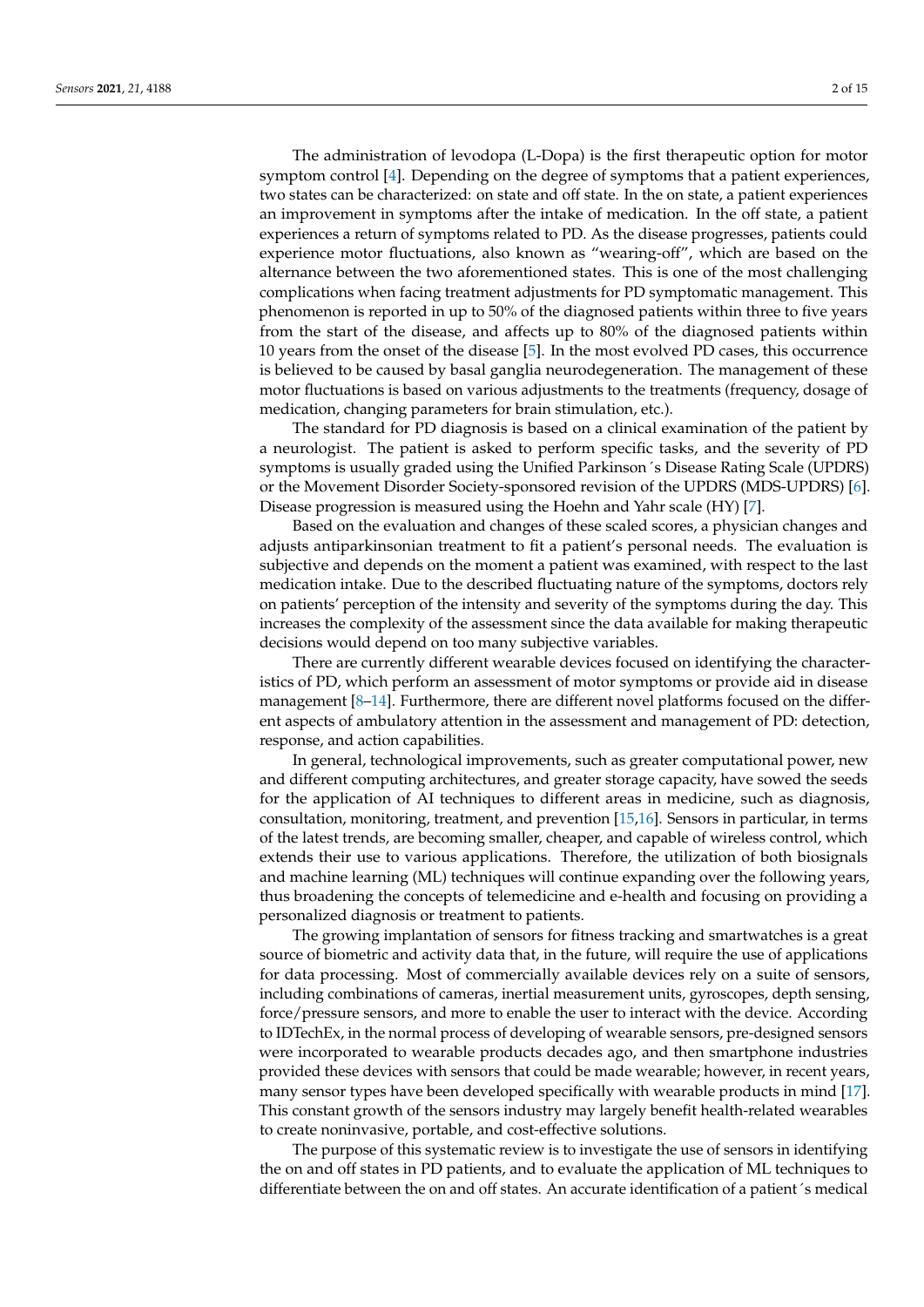The administration of levodopa (L-Dopa) is the first therapeutic option for motor symptom control [\[4\]](#page-13-3). Depending on the degree of symptoms that a patient experiences, two states can be characterized: on state and off state. In the on state, a patient experiences an improvement in symptoms after the intake of medication. In the off state, a patient experiences a return of symptoms related to PD. As the disease progresses, patients could experience motor fluctuations, also known as "wearing-off", which are based on the alternance between the two aforementioned states. This is one of the most challenging complications when facing treatment adjustments for PD symptomatic management. This phenomenon is reported in up to 50% of the diagnosed patients within three to five years from the start of the disease, and affects up to 80% of the diagnosed patients within 10 years from the onset of the disease [\[5\]](#page-13-4). In the most evolved PD cases, this occurrence is believed to be caused by basal ganglia neurodegeneration. The management of these motor fluctuations is based on various adjustments to the treatments (frequency, dosage of medication, changing parameters for brain stimulation, etc.).

The standard for PD diagnosis is based on a clinical examination of the patient by a neurologist. The patient is asked to perform specific tasks, and the severity of PD symptoms is usually graded using the Unified Parkinson´s Disease Rating Scale (UPDRS) or the Movement Disorder Society-sponsored revision of the UPDRS (MDS-UPDRS) [\[6\]](#page-13-5). Disease progression is measured using the Hoehn and Yahr scale (HY) [\[7\]](#page-13-6).

Based on the evaluation and changes of these scaled scores, a physician changes and adjusts antiparkinsonian treatment to fit a patient's personal needs. The evaluation is subjective and depends on the moment a patient was examined, with respect to the last medication intake. Due to the described fluctuating nature of the symptoms, doctors rely on patients' perception of the intensity and severity of the symptoms during the day. This increases the complexity of the assessment since the data available for making therapeutic decisions would depend on too many subjective variables.

There are currently different wearable devices focused on identifying the characteristics of PD, which perform an assessment of motor symptoms or provide aid in disease management [\[8](#page-13-7)[–14\]](#page-13-8). Furthermore, there are different novel platforms focused on the different aspects of ambulatory attention in the assessment and management of PD: detection, response, and action capabilities.

In general, technological improvements, such as greater computational power, new and different computing architectures, and greater storage capacity, have sowed the seeds for the application of AI techniques to different areas in medicine, such as diagnosis, consultation, monitoring, treatment, and prevention [\[15](#page-13-9)[,16\]](#page-13-10). Sensors in particular, in terms of the latest trends, are becoming smaller, cheaper, and capable of wireless control, which extends their use to various applications. Therefore, the utilization of both biosignals and machine learning (ML) techniques will continue expanding over the following years, thus broadening the concepts of telemedicine and e-health and focusing on providing a personalized diagnosis or treatment to patients.

The growing implantation of sensors for fitness tracking and smartwatches is a great source of biometric and activity data that, in the future, will require the use of applications for data processing. Most of commercially available devices rely on a suite of sensors, including combinations of cameras, inertial measurement units, gyroscopes, depth sensing, force/pressure sensors, and more to enable the user to interact with the device. According to IDTechEx, in the normal process of developing of wearable sensors, pre-designed sensors were incorporated to wearable products decades ago, and then smartphone industries provided these devices with sensors that could be made wearable; however, in recent years, many sensor types have been developed specifically with wearable products in mind [\[17\]](#page-13-11). This constant growth of the sensors industry may largely benefit health-related wearables to create noninvasive, portable, and cost-effective solutions.

The purpose of this systematic review is to investigate the use of sensors in identifying the on and off states in PD patients, and to evaluate the application of ML techniques to differentiate between the on and off states. An accurate identification of a patient´s medical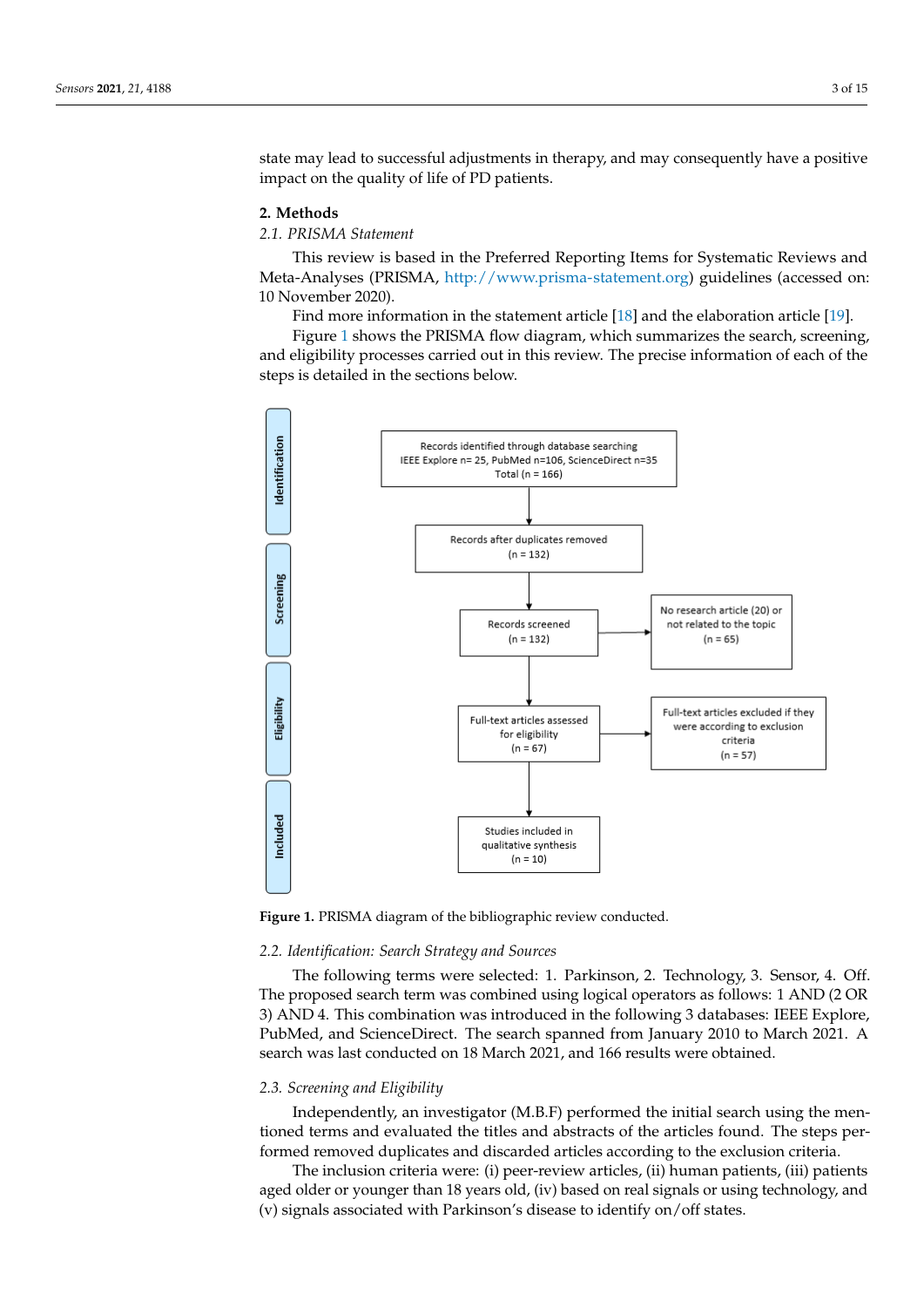state may lead to successful adjustments in therapy, and may consequently have a positive impact on the quality of life of PD patients.

The purpose of this systematic review is to investigate the use of sensors in identify-sensors in identify-sensors in identify-sensors in identify-sensors in identify-sensors in identify-sensors in identify-sensors in ide

#### **2. Methods**

### *2.1. PRISMA Statement 2.1. PRISMA Statement*

This review is based in the Preferred Reporting Items for Systematic Reviews and Meta-Analyses (PRISMA, [http://www.prisma-statement.org\)](http://www.prisma-statement.org) guidelines (accessed on: Meta-Analyses (PRISMA, http://www.prisma-statement.org) guidelines (accessed on: 10 10 November 2020). November 2020).

Find more information in the statement article [\[18\]](#page-13-12) and the elaboration article [\[19\]](#page-13-13). Find more information in the statement article [18] and the elaboration article [19].

Figure [1](#page-2-0) shows the PRISMA flow diagram, which summarizes the search, screening, Figure 1 shows the PRISMA flow diagram, which summarizes the search, screening, and eligibility processes carried out in this review. The precise information of each of the and eligibility processes carried out in this review. The precise information of each of the steps is detailed in the sections below. steps is detailed in the sections below.

<span id="page-2-0"></span>

**Figure 1.** PRISMA diagram of the bibliographic review conducted. **Figure 1.** PRISMA diagram of the bibliographic review conducted.

## *2.2. Identification: Search Strategy and Sources 2.2. Identification: Search Strategy and Sources*

The following terms were selected: 1. Parkinson, 2. Technology, 3. Sensor, 4. Off. The proposed search term was combined using logical operators as follows: 1 AND (2 OR AND 4. This combination was introduced in the following 3 databases: IEEE Explore, 3) AND 4. This combination was introduced in the following 3 databases: IEEE Explore, PubMed, and ScienceDirect. The search spanned from January 2010 to March 2021. A PubMed, and ScienceDirect. The search spanned from January 2010 to March 2021. A search was last conducted on 18 March 2021, and 166 results were obtained. search was last conducted on 18 March 2021, and 166 results were obtained.

#### *2.3. Screening and Eligibility*

Independently, an investigator (M.B.F) performed the initial search using the mentioned terms and evaluated the titles and abstracts of the articles found. The steps performed removed duplicates and discarded articles according to the exclusion criteria.

The inclusion criteria were: (i) peer-review articles, (ii) human patients, (iii) patients aged older or younger than 18 years old, (iv) based on real signals or using technology, and (v) signals associated with Parkinson's disease to identify on/off states.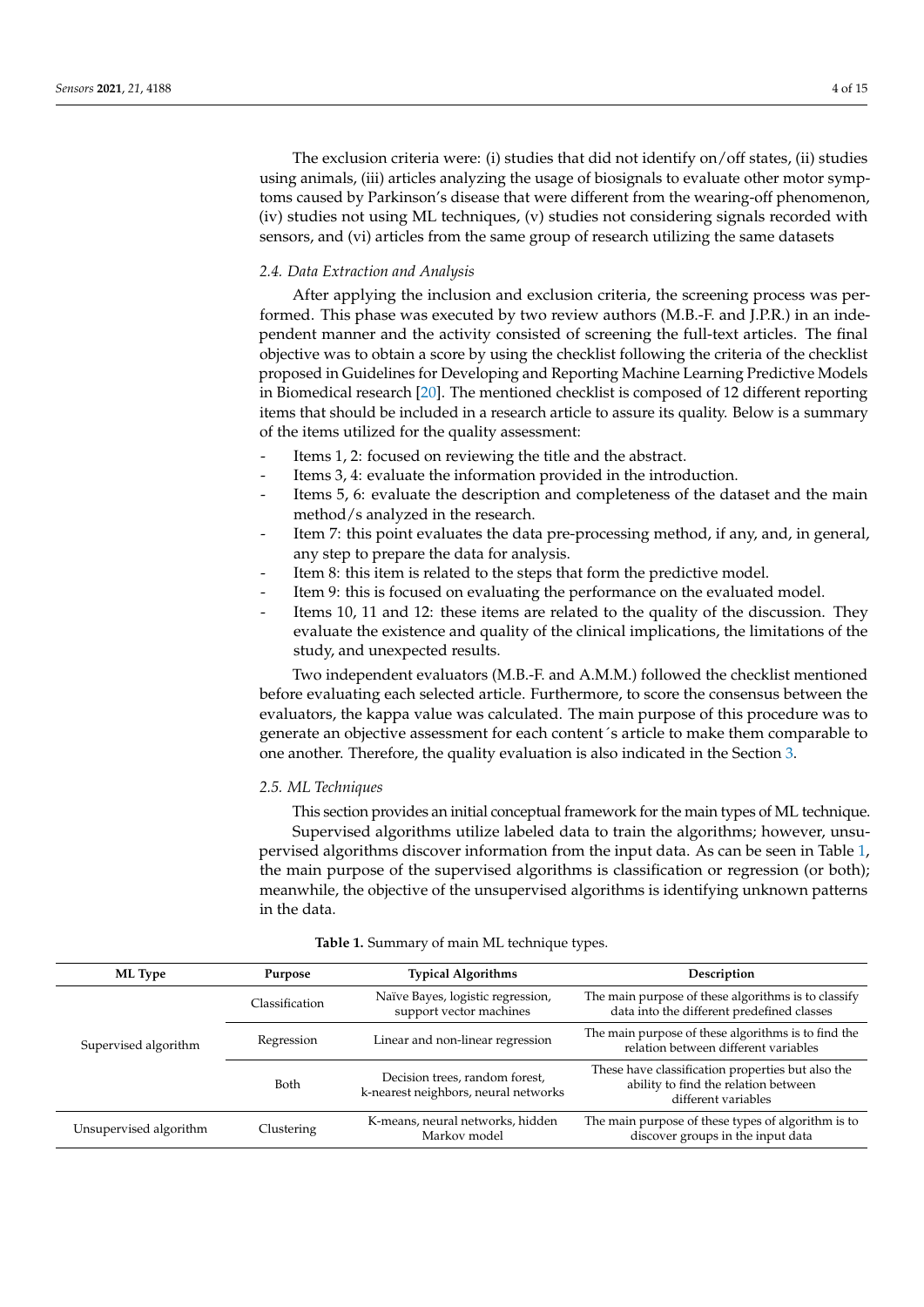The exclusion criteria were: (i) studies that did not identify on/off states, (ii) studies using animals, (iii) articles analyzing the usage of biosignals to evaluate other motor symptoms caused by Parkinson's disease that were different from the wearing-off phenomenon, (iv) studies not using ML techniques, (v) studies not considering signals recorded with sensors, and (vi) articles from the same group of research utilizing the same datasets

#### *2.4. Data Extraction and Analysis*

After applying the inclusion and exclusion criteria, the screening process was performed. This phase was executed by two review authors (M.B.-F. and J.P.R.) in an independent manner and the activity consisted of screening the full-text articles. The final objective was to obtain a score by using the checklist following the criteria of the checklist proposed in Guidelines for Developing and Reporting Machine Learning Predictive Models in Biomedical research [\[20\]](#page-13-14). The mentioned checklist is composed of 12 different reporting items that should be included in a research article to assure its quality. Below is a summary of the items utilized for the quality assessment:

- Items 1, 2: focused on reviewing the title and the abstract.
- Items 3, 4: evaluate the information provided in the introduction.
- Items 5, 6: evaluate the description and completeness of the dataset and the main method/s analyzed in the research.
- Item 7: this point evaluates the data pre-processing method, if any, and, in general, any step to prepare the data for analysis.
- Item 8: this item is related to the steps that form the predictive model.
- Item 9: this is focused on evaluating the performance on the evaluated model.
- Items 10, 11 and 12: these items are related to the quality of the discussion. They evaluate the existence and quality of the clinical implications, the limitations of the study, and unexpected results.

Two independent evaluators (M.B.-F. and A.M.M.) followed the checklist mentioned before evaluating each selected article. Furthermore, to score the consensus between the evaluators, the kappa value was calculated. The main purpose of this procedure was to generate an objective assessment for each content´s article to make them comparable to one another. Therefore, the quality evaluation is also indicated in the Section [3.](#page-4-0)

#### *2.5. ML Techniques*

This section provides an initial conceptual framework for the main types of ML technique. Supervised algorithms utilize labeled data to train the algorithms; however, unsupervised algorithms discover information from the input data. As can be seen in Table [1,](#page-3-0) the main purpose of the supervised algorithms is classification or regression (or both); meanwhile, the objective of the unsupervised algorithms is identifying unknown patterns in the data.

<span id="page-3-0"></span>

| ML Type<br>Purpose                   |                | <b>Typical Algorithms</b>                                              | Description                                                                                                      |  |  |
|--------------------------------------|----------------|------------------------------------------------------------------------|------------------------------------------------------------------------------------------------------------------|--|--|
|                                      | Classification | Naïve Bayes, logistic regression,<br>support vector machines           | The main purpose of these algorithms is to classify<br>data into the different predefined classes                |  |  |
| Supervised algorithm                 | Regression     | Linear and non-linear regression                                       | The main purpose of these algorithms is to find the<br>relation between different variables                      |  |  |
|                                      | Both           | Decision trees, random forest,<br>k-nearest neighbors, neural networks | These have classification properties but also the<br>ability to find the relation between<br>different variables |  |  |
| Unsupervised algorithm<br>Clustering |                | K-means, neural networks, hidden<br>Markov model                       | The main purpose of these types of algorithm is to<br>discover groups in the input data                          |  |  |

#### **Table 1.** Summary of main ML technique types.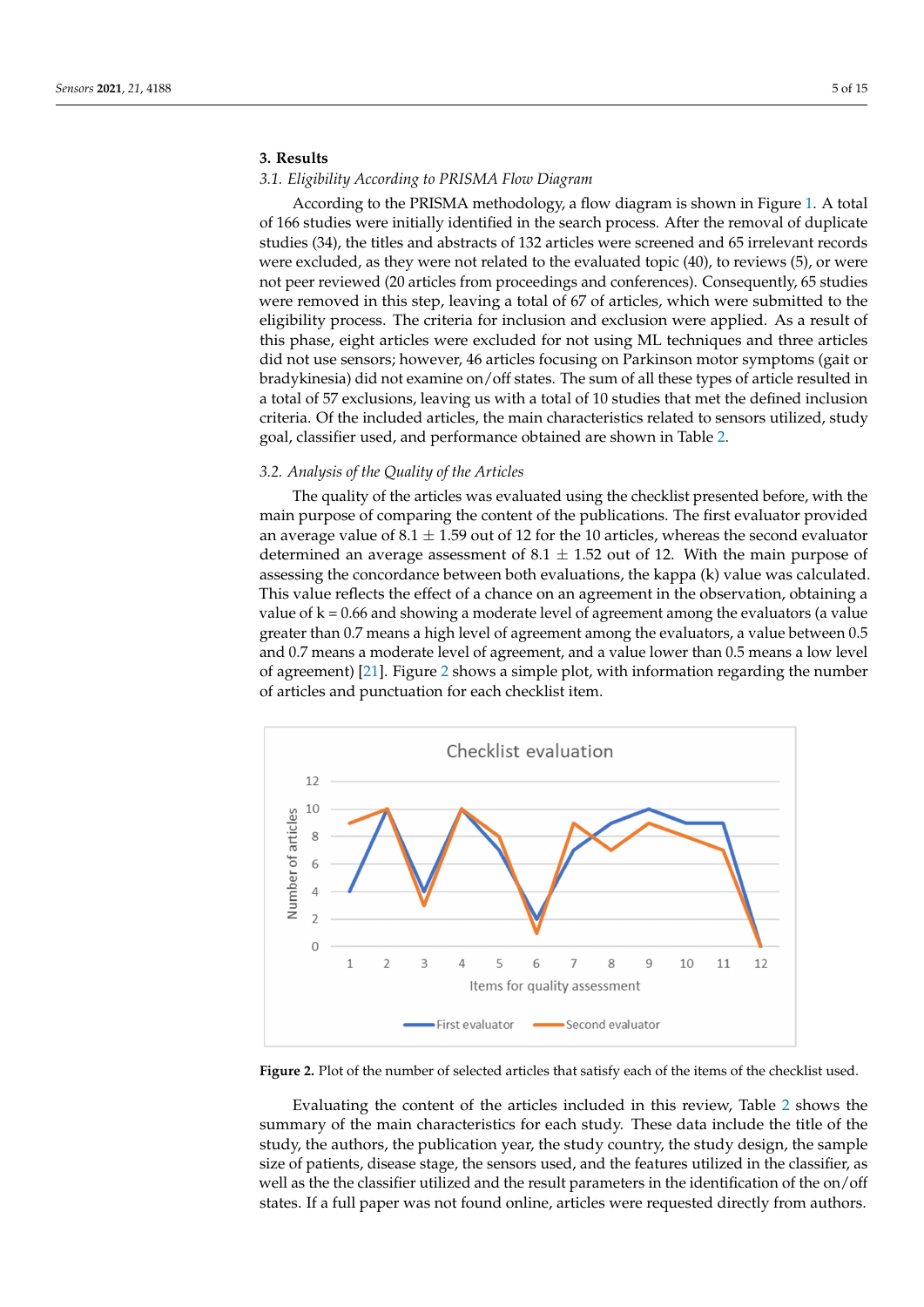#### <span id="page-4-0"></span>**3. Results**

#### *3.1. Eligibility According to PRISMA Flow Diagram*

According to the PRISMA methodology, a flow diagram is shown in Figure [1.](#page-2-0) A total of 166 studies were initially identified in the search process. After the removal of duplicate studies (34), the titles and abstracts of 132 articles were screened and 65 irrelevant records were excluded, as they were not related to the evaluated topic (40), to reviews (5), or were not peer reviewed (20 articles from proceedings and conferences). Consequently, 65 studies were removed in this step, leaving a total of 67 of articles, which were submitted to the eligibility process. The criteria for inclusion and exclusion were applied. As a result of this phase, eight articles were excluded for not using ML techniques and three articles did not use sensors; however, 46 articles focusing on Parkinson motor symptoms (gait or bradykinesia) did not examine on/off states. The sum of all these types of article resulted in a total of 57 exclusions, leaving us with a total of 10 studies that met the defined inclusion criteria. Of the included articles, the main characteristics related to sensors utilized, study goal, classifier used, and performance obtained are shown in Table [2.](#page-6-0)

#### *3.2. Analysis of the Quality of the Articles*

The quality of the articles was evaluated using the checklist presented before, with the main purpose of comparing the content of the publications. The first evaluator provided an average value of 8.1  $\pm$  1.59 out of 12 for the 10 articles, whereas the second evaluator determined an average assessment of  $8.1 \pm 1.52$  out of 12. With the main purpose of assessing the concordance between both evaluations, the kappa (k) value was calculated. This value reflects the effect of a chance on an agreement in the observation, obtaining a value of  $k = 0.66$  and showing a moderate level of agreement among the evaluators (a value greater than 0.7 means a high level of agreement among the evaluators, a value between 0.5 and 0.7 means a moderate level of agreement, and a value lower than 0.5 means a low level of agreement) [\[21\]](#page-13-15). Figure 2 shows a simple plot, with information regarding the number *Sensors* **2021**, *21*, x FOR PEER REVIEW 6 of 17 of articles and punctuation for each checklist item.

<span id="page-4-1"></span>

**Figure 2.** Plot of the number of selected articles that satisfy each of the items of the checklist used. **Figure 2.** Plot of the number of selected articles that satisfy each of the items of the checklist used.

Evaluating the content of the articles included in this review, Table 2 show[s th](#page-6-0)e summary of the main characteristics for each study. These data include the title of the study, the authors, the publication year, the study country, the study design, the sample size of patients, disease stage, the sensors used, and the features utilized in the classifier, as well as the the classifier utilized and the result parameters in the identification of the on/off states. If a full paper was not found online, articles were requested directly from authors. states. If a full paper was not found online, articles were requested directly from authors.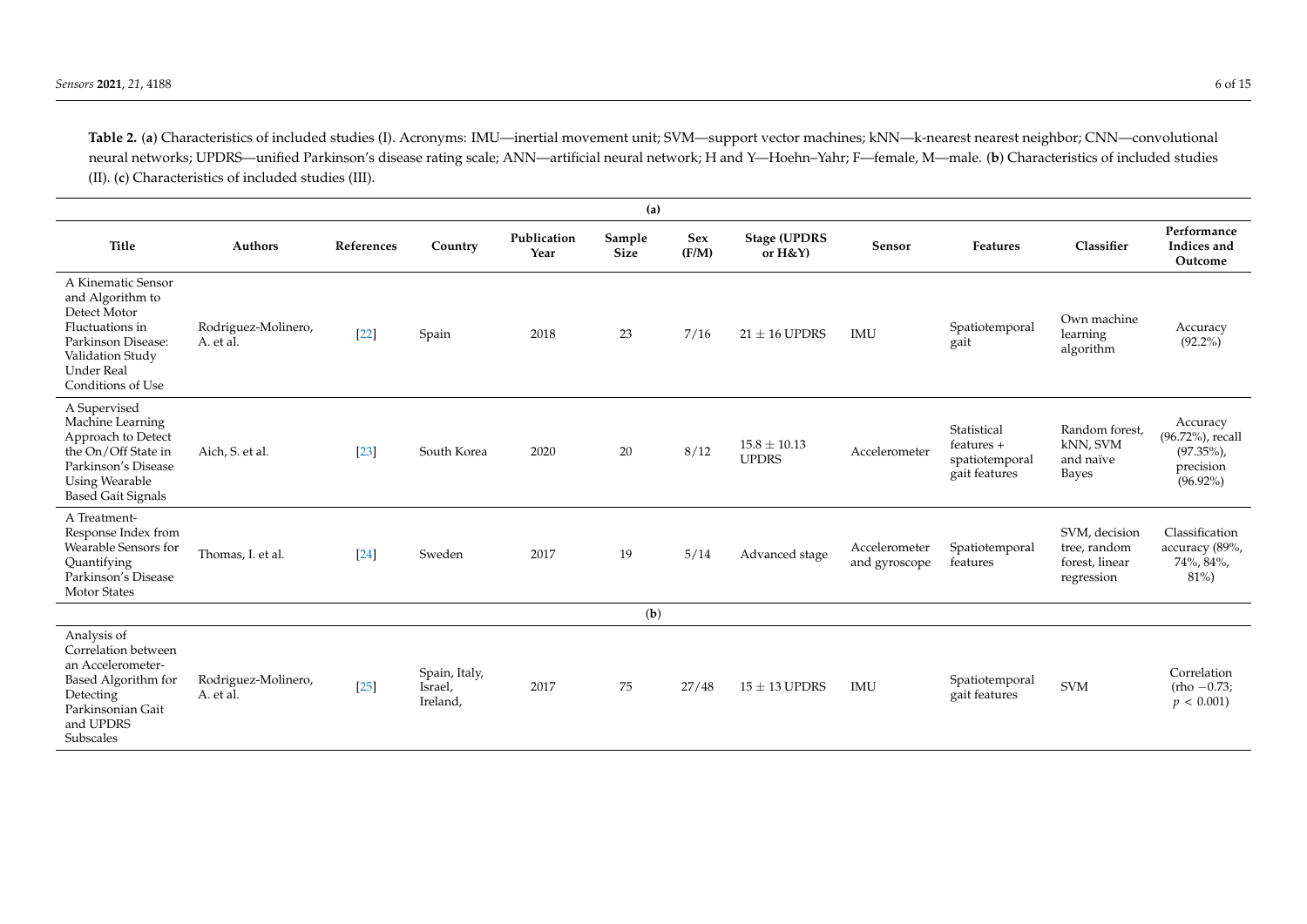**Table 2.** (**a**) Characteristics of included studies (I). Acronyms: IMU—inertial movement unit; SVM—support vector machines; kNN—k-nearest nearest neighbor; CNN—convolutional neural networks; UPDRS—unified Parkinson's disease rating scale; ANN—artificial neural network; H and Y—Hoehn–Yahr; F—female, M—male. (**b**) Characteristics of included studies (II). (**c**) Characteristics of included studies (III).

| (a)                                                                                                                                                           |                                  |            |                                      |                     |                       |              |                                  |                                |                                                                |                                                               |                                                                         |
|---------------------------------------------------------------------------------------------------------------------------------------------------------------|----------------------------------|------------|--------------------------------------|---------------------|-----------------------|--------------|----------------------------------|--------------------------------|----------------------------------------------------------------|---------------------------------------------------------------|-------------------------------------------------------------------------|
| <b>Title</b>                                                                                                                                                  | <b>Authors</b>                   | References | Country                              | Publication<br>Year | Sample<br><b>Size</b> | Sex<br>(F/M) | <b>Stage (UPDRS</b><br>or H&Y)   | Sensor                         | Features                                                       | Classifier                                                    | Performance<br>Indices and<br>Outcome                                   |
| A Kinematic Sensor<br>and Algorithm to<br>Detect Motor<br>Fluctuations in<br>Parkinson Disease:<br>Validation Study<br><b>Under Real</b><br>Conditions of Use | Rodriguez-Molinero,<br>A. et al. | $[22]$     | Spain                                | 2018                | 23                    | 7/16         | $21 \pm 16$ UPDRS                | <b>IMU</b>                     | Spatiotemporal<br>gait                                         | Own machine<br>learning<br>algorithm                          | Accuracy<br>$(92.2\%)$                                                  |
| A Supervised<br>Machine Learning<br>Approach to Detect<br>the On/Off State in<br>Parkinson's Disease<br><b>Using Wearable</b><br><b>Based Gait Signals</b>    | Aich, S. et al.                  | $[23]$     | South Korea                          | 2020                | 20                    | 8/12         | $15.8 \pm 10.13$<br><b>UPDRS</b> | Accelerometer                  | Statistical<br>$features +$<br>spatiotemporal<br>gait features | Random forest,<br>kNN, SVM<br>and naïve<br>Bayes              | Accuracy<br>(96.72%), recall<br>$(97.35\%)$<br>precision<br>$(96.92\%)$ |
| A Treatment-<br>Response Index from<br>Wearable Sensors for<br>Ouantifying<br>Parkinson's Disease<br><b>Motor States</b>                                      | Thomas, I. et al.                | [24]       | Sweden                               | 2017                | 19                    | 5/14         | Advanced stage                   | Accelerometer<br>and gyroscope | Spatiotemporal<br>features                                     | SVM, decision<br>tree, random<br>forest, linear<br>regression | Classification<br>accuracy (89%,<br>74%, 84%,<br>$81\%$                 |
| (b)                                                                                                                                                           |                                  |            |                                      |                     |                       |              |                                  |                                |                                                                |                                                               |                                                                         |
| Analysis of<br>Correlation between<br>an Accelerometer-<br>Based Algorithm for<br>Detecting<br>Parkinsonian Gait<br>and UPDRS<br>Subscales                    | Rodriguez-Molinero,<br>A. et al. | $[25]$     | Spain, Italy,<br>Israel,<br>Ireland, | 2017                | 75                    | 27/48        | $15 \pm 13$ UPDRS                | <b>IMU</b>                     | Spatiotemporal<br>gait features                                | <b>SVM</b>                                                    | Correlation<br>$(rho -0.73)$<br>$p < 0.001$ )                           |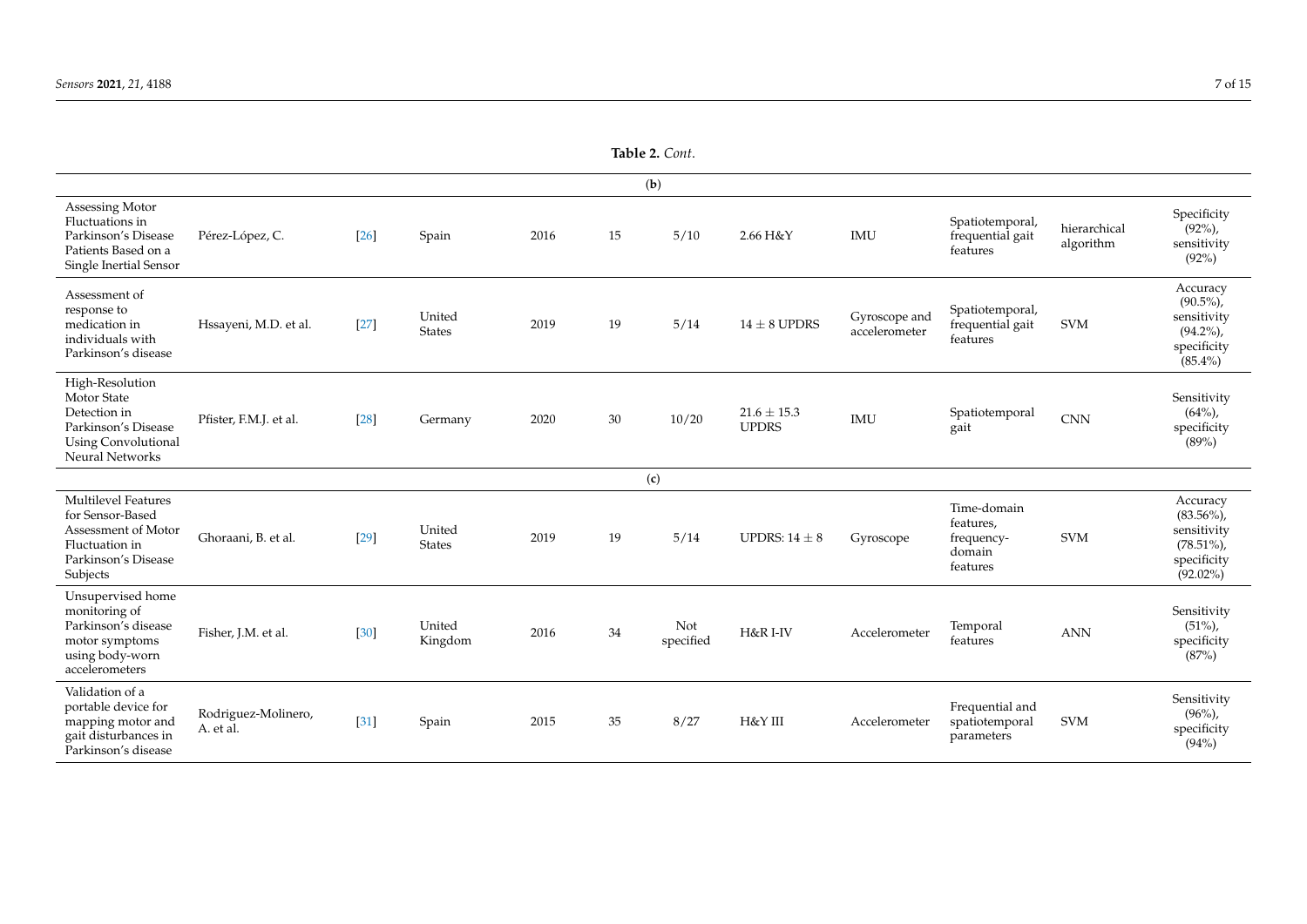<span id="page-6-0"></span>

|                                                                                                                            |                                  |        |                         |      | (b) |                  |                                 |                                |                                                              |                           |                                                                                       |
|----------------------------------------------------------------------------------------------------------------------------|----------------------------------|--------|-------------------------|------|-----|------------------|---------------------------------|--------------------------------|--------------------------------------------------------------|---------------------------|---------------------------------------------------------------------------------------|
| Assessing Motor<br>Fluctuations in<br>Parkinson's Disease<br>Patients Based on a<br>Single Inertial Sensor                 | Pérez-López, C.                  | $[26]$ | Spain                   | 2016 | 15  | 5/10             | 2.66 H&Y                        | IMU                            | Spatiotemporal,<br>frequential gait<br>features              | hierarchical<br>algorithm | Specificity<br>$(92\%)$ ,<br>sensitivity<br>(92%)                                     |
| Assessment of<br>response to<br>medication in<br>individuals with<br>Parkinson's disease                                   | Hssayeni, M.D. et al.            | $[27]$ | United<br><b>States</b> | 2019 | 19  | 5/14             | $14 \pm 8$ UPDRS                | Gyroscope and<br>accelerometer | Spatiotemporal,<br>frequential gait<br>features              | <b>SVM</b>                | Accuracy<br>$(90.5\%)$<br>sensitivity<br>$(94.2\%)$<br>specificity<br>$(85.4\%)$      |
| High-Resolution<br>Motor State<br>Detection in<br>Parkinson's Disease<br><b>Using Convolutional</b><br>Neural Networks     | Pfister, F.M.J. et al.           | [28]   | Germany                 | 2020 | 30  | 10/20            | $21.6 \pm 15.3$<br><b>UPDRS</b> | IMU                            | Spatiotemporal<br>gait                                       | <b>CNN</b>                | Sensitivity<br>$(64\%)$<br>specificity<br>(89%)                                       |
|                                                                                                                            |                                  |        |                         |      | (c) |                  |                                 |                                |                                                              |                           |                                                                                       |
| <b>Multilevel Features</b><br>for Sensor-Based<br>Assessment of Motor<br>Fluctuation in<br>Parkinson's Disease<br>Subjects | Ghoraani, B. et al.              | $[29]$ | United<br><b>States</b> | 2019 | 19  | 5/14             | UPDRS: $14 \pm 8$               | Gyroscope                      | Time-domain<br>features,<br>frequency-<br>domain<br>features | <b>SVM</b>                | Accuracy<br>$(83.56\%)$<br>sensitivity<br>$(78.51\%)$ ,<br>specificity<br>$(92.02\%)$ |
| Unsupervised home<br>monitoring of<br>Parkinson's disease<br>motor symptoms<br>using body-worn<br>accelerometers           | Fisher, J.M. et al.              | $[30]$ | United<br>Kingdom       | 2016 | 34  | Not<br>specified | H&R I-IV                        | Accelerometer                  | Temporal<br>features                                         | <b>ANN</b>                | Sensitivity<br>$(51\%)$<br>specificity<br>(87%)                                       |
| Validation of a<br>portable device for<br>mapping motor and<br>gait disturbances in<br>Parkinson's disease                 | Rodriguez-Molinero,<br>A. et al. | $[31]$ | Spain                   | 2015 | 35  | 8/27             | H&Y III                         | Accelerometer                  | Frequential and<br>spatiotemporal<br>parameters              | <b>SVM</b>                | Sensitivity<br>$(96\%)$<br>specificity<br>(94%)                                       |

**Table 2.** *Cont*.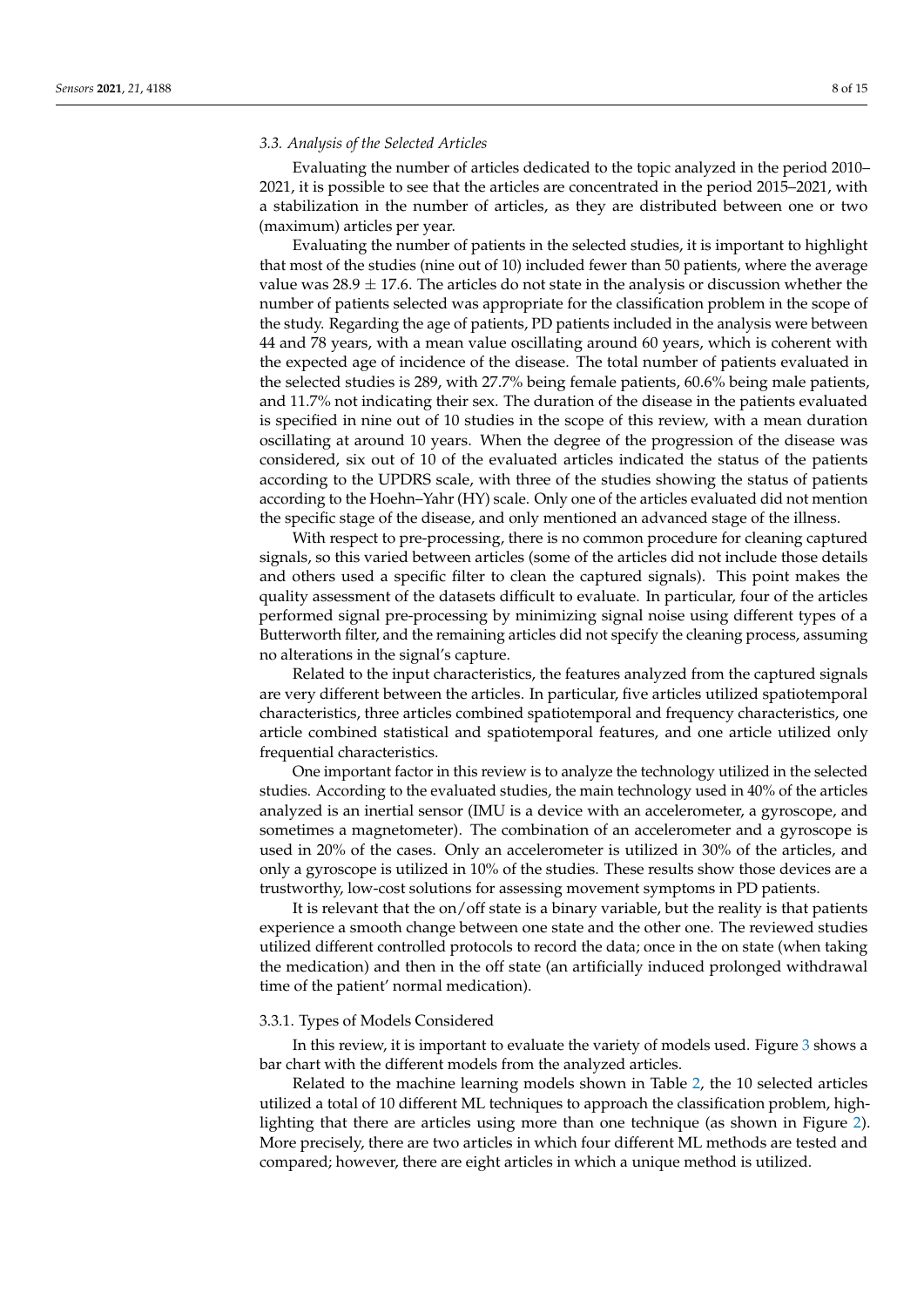#### *3.3. Analysis of the Selected Articles*

Evaluating the number of articles dedicated to the topic analyzed in the period 2010– 2021, it is possible to see that the articles are concentrated in the period 2015–2021, with a stabilization in the number of articles, as they are distributed between one or two (maximum) articles per year.

Evaluating the number of patients in the selected studies, it is important to highlight that most of the studies (nine out of 10) included fewer than 50 patients, where the average value was  $28.9 \pm 17.6$ . The articles do not state in the analysis or discussion whether the number of patients selected was appropriate for the classification problem in the scope of the study. Regarding the age of patients, PD patients included in the analysis were between 44 and 78 years, with a mean value oscillating around 60 years, which is coherent with the expected age of incidence of the disease. The total number of patients evaluated in the selected studies is 289, with 27.7% being female patients, 60.6% being male patients, and 11.7% not indicating their sex. The duration of the disease in the patients evaluated is specified in nine out of 10 studies in the scope of this review, with a mean duration oscillating at around 10 years. When the degree of the progression of the disease was considered, six out of 10 of the evaluated articles indicated the status of the patients according to the UPDRS scale, with three of the studies showing the status of patients according to the Hoehn–Yahr (HY) scale. Only one of the articles evaluated did not mention the specific stage of the disease, and only mentioned an advanced stage of the illness.

With respect to pre-processing, there is no common procedure for cleaning captured signals, so this varied between articles (some of the articles did not include those details and others used a specific filter to clean the captured signals). This point makes the quality assessment of the datasets difficult to evaluate. In particular, four of the articles performed signal pre-processing by minimizing signal noise using different types of a Butterworth filter, and the remaining articles did not specify the cleaning process, assuming no alterations in the signal's capture.

Related to the input characteristics, the features analyzed from the captured signals are very different between the articles. In particular, five articles utilized spatiotemporal characteristics, three articles combined spatiotemporal and frequency characteristics, one article combined statistical and spatiotemporal features, and one article utilized only frequential characteristics.

One important factor in this review is to analyze the technology utilized in the selected studies. According to the evaluated studies, the main technology used in 40% of the articles analyzed is an inertial sensor (IMU is a device with an accelerometer, a gyroscope, and sometimes a magnetometer). The combination of an accelerometer and a gyroscope is used in 20% of the cases. Only an accelerometer is utilized in 30% of the articles, and only a gyroscope is utilized in 10% of the studies. These results show those devices are a trustworthy, low-cost solutions for assessing movement symptoms in PD patients.

It is relevant that the on/off state is a binary variable, but the reality is that patients experience a smooth change between one state and the other one. The reviewed studies utilized different controlled protocols to record the data; once in the on state (when taking the medication) and then in the off state (an artificially induced prolonged withdrawal time of the patient' normal medication).

#### 3.3.1. Types of Models Considered

In this review, it is important to evaluate the variety of models used. Figure [3](#page-8-0) shows a bar chart with the different models from the analyzed articles.

Related to the machine learning models shown in Table [2,](#page-6-0) the 10 selected articles utilized a total of 10 different ML techniques to approach the classification problem, highlighting that there are articles using more than one technique (as shown in Figure [2\)](#page-4-1). More precisely, there are two articles in which four different ML methods are tested and compared; however, there are eight articles in which a unique method is utilized.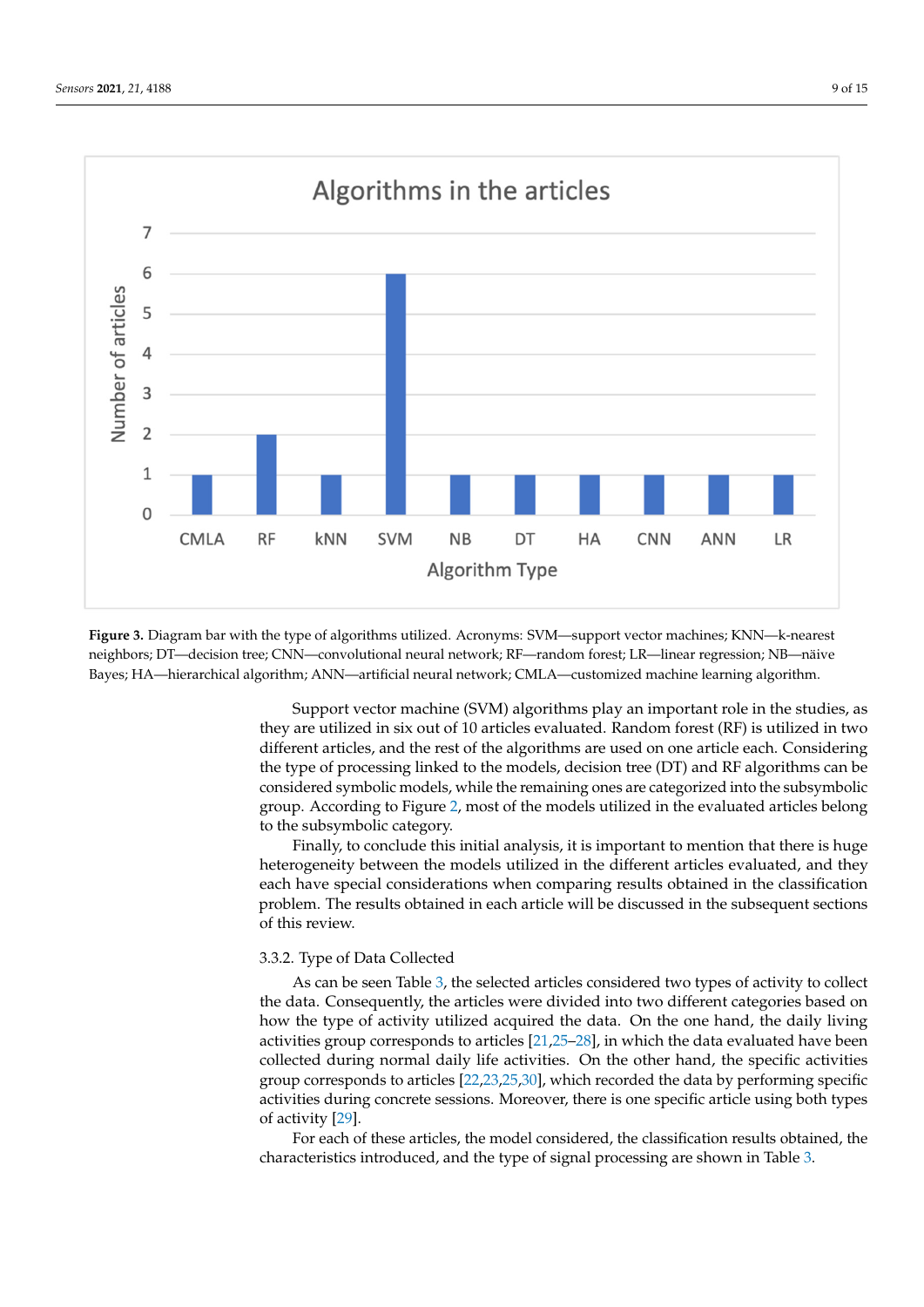<span id="page-8-0"></span>

Figure 3. Diagram bar with the type of algorithms utilized. Acronyms: SVM—support vector machines; KNN—k-nearest neighbors; DT—decision tree; CNN—convolutional neural network; RF—random forest; LR—linear regression; NB—näive<br>References Bayes; HA—hierarchical algorithm; ANN—artificial neural network; CMLA—customized machine learning algorithm.

Support vector machine (SVM) algorithms play an important role in the studies, as the type of processing linked to the models, decision tree (DT) and RF algorithms can be considered symbolic models, while the remaining ones are categorized into the subsymbolic group. According to Figure [2,](#page-4-1) most of the models utilized in the evaluated articles belong<br>to the subsymbolic category they are utilized in six out of 10 articles evaluated. Random forest (RF) is utilized in two different articles, and the rest of the algorithms are used on one article each. Considering to the subsymbolic category.

Finally, to conclude this initial analysis, it is important to mention that there is huge heterogeneity between the models utilized in the different articles evaluated, and they each have special considerations when comparing results obtained in the classification<br>problem. The results obtained in each article will be discussed in the subsequent sections of this review. each have special considerations when comparing results obtained in the classification of this review.

## 3.3.2. Type of Data Collected

As can be seen Table [3,](#page-9-0) the selected articles considered two types of activity to collect the data. Consequently, the articles were divided into two different categories based on how the type of activity utilized acquired the data. On the one hand, the daily living<br>activities group corresponds to articles [21.25–28], in which the data evaluated have been collected during normal daily life activities. On the other hand, the specific activities group corresponds to articles  $[22,23,25,30]$  $[22,23,25,30]$  $[22,23,25,30]$  $[22,23,25,30]$ , which recorded the data by performing specific activities during concrete sessions. Moreover, there is one specific article using both types<br>of activity [29] activities group corresponds to articles [\[21,](#page-13-15)[25](#page-14-10)[–28\]](#page-14-11), in which the data evaluated have been of activity [\[29\]](#page-14-15).

For each of these articles, the model considered, the classification results obtained, the characteristics introduced, and the type of signal processing are shown in Table 3.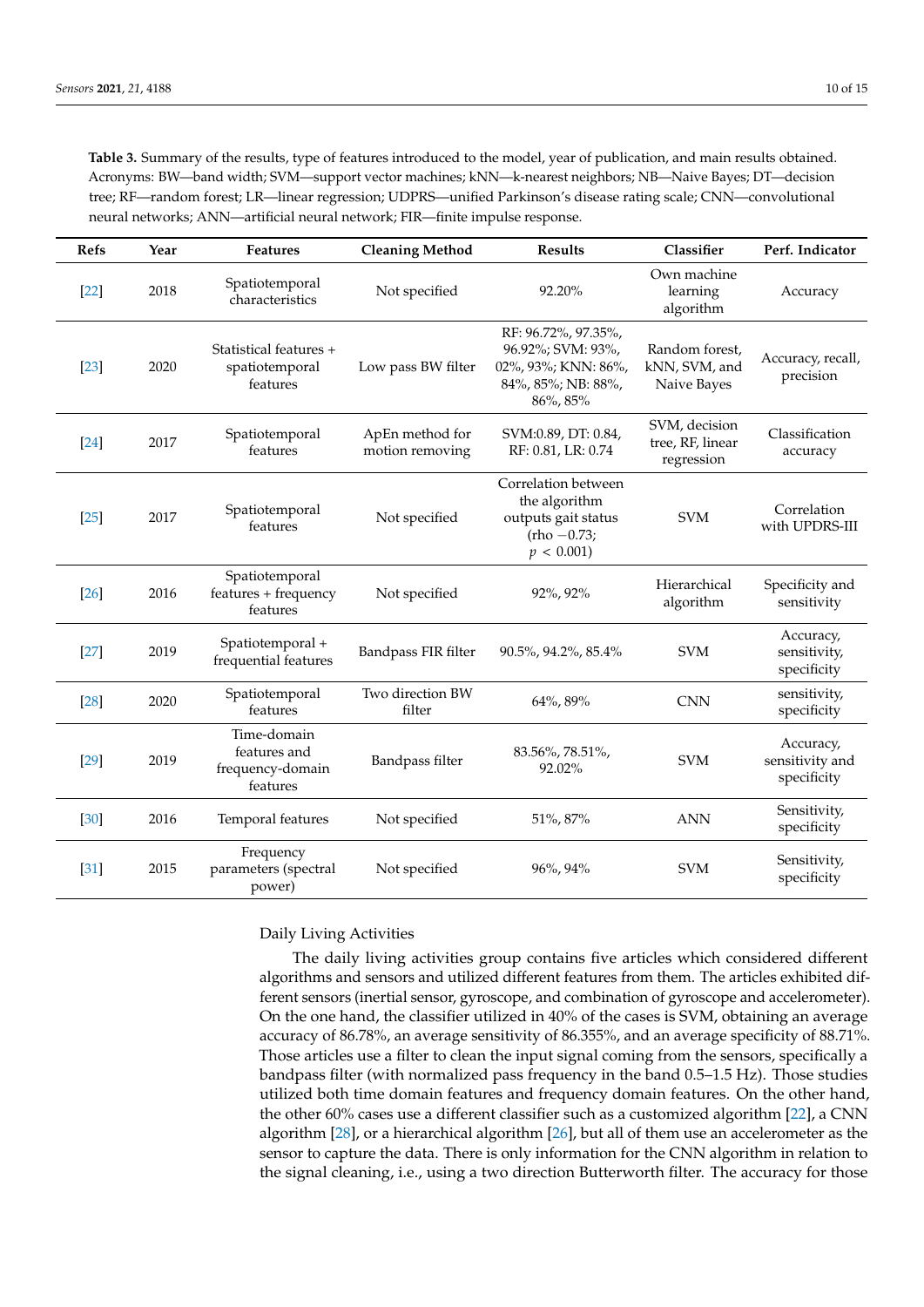<span id="page-9-0"></span>**Table 3.** Summary of the results, type of features introduced to the model, year of publication, and main results obtained. Acronyms: BW—band width; SVM—support vector machines; kNN—k-nearest neighbors; NB—Naive Bayes; DT—decision tree; RF—random forest; LR—linear regression; UDPRS—unified Parkinson's disease rating scale; CNN—convolutional neural networks; ANN—artificial neural network; FIR—finite impulse response.

| <b>Refs</b> | Year | <b>Features</b>                                             | <b>Cleaning Method</b>             | <b>Results</b>                                                                                    | Classifier                                      | Perf. Indicator                             |
|-------------|------|-------------------------------------------------------------|------------------------------------|---------------------------------------------------------------------------------------------------|-------------------------------------------------|---------------------------------------------|
| $[22]$      | 2018 | Spatiotemporal<br>characteristics                           | Not specified                      | 92.20%                                                                                            | Own machine<br>learning<br>algorithm            | Accuracy                                    |
| $[23]$      | 2020 | Statistical features +<br>spatiotemporal<br>features        | Low pass BW filter                 | RF: 96.72%, 97.35%,<br>96.92%; SVM: 93%,<br>02%, 93%; KNN: 86%,<br>84%, 85%; NB: 88%,<br>86%, 85% | Random forest,<br>kNN, SVM, and<br>Naive Bayes  | Accuracy, recall,<br>precision              |
| $[24]$      | 2017 | Spatiotemporal<br>features                                  | ApEn method for<br>motion removing | SVM:0.89, DT: 0.84,<br>RF: 0.81, LR: 0.74                                                         | SVM, decision<br>tree, RF, linear<br>regression | Classification<br>accuracy                  |
| $[25]$      | 2017 | Spatiotemporal<br>features                                  | Not specified                      | Correlation between<br>the algorithm<br>outputs gait status<br>$(rho -0.73)$<br>p < 0.001         | <b>SVM</b>                                      | Correlation<br>with UPDRS-III               |
| $[26]$      | 2016 | Spatiotemporal<br>features + frequency<br>features          | Not specified                      | 92%, 92%                                                                                          | Hierarchical<br>algorithm                       | Specificity and<br>sensitivity              |
| $[27]$      | 2019 | Spatiotemporal +<br>frequential features                    | Bandpass FIR filter                | 90.5%, 94.2%, 85.4%                                                                               | <b>SVM</b>                                      | Accuracy,<br>sensitivity,<br>specificity    |
| $[28]$      | 2020 | Spatiotemporal<br>features                                  | Two direction BW<br>filter         | 64%, 89%                                                                                          | <b>CNN</b>                                      | sensitivity,<br>specificity                 |
| $[29]$      | 2019 | Time-domain<br>features and<br>frequency-domain<br>features | Bandpass filter                    | 83.56%, 78.51%,<br>92.02%                                                                         | <b>SVM</b>                                      | Accuracy,<br>sensitivity and<br>specificity |
| [30]        | 2016 | Temporal features                                           | Not specified                      | 51%, 87%                                                                                          | <b>ANN</b>                                      | Sensitivity,<br>specificity                 |
| $[31]$      | 2015 | Frequency<br>parameters (spectral<br>power)                 | Not specified                      | 96%, 94%                                                                                          | <b>SVM</b>                                      | Sensitivity,<br>specificity                 |

#### Daily Living Activities

The daily living activities group contains five articles which considered different algorithms and sensors and utilized different features from them. The articles exhibited different sensors (inertial sensor, gyroscope, and combination of gyroscope and accelerometer). On the one hand, the classifier utilized in 40% of the cases is SVM, obtaining an average accuracy of 86.78%, an average sensitivity of 86.355%, and an average specificity of 88.71%. Those articles use a filter to clean the input signal coming from the sensors, specifically a bandpass filter (with normalized pass frequency in the band 0.5–1.5 Hz). Those studies utilized both time domain features and frequency domain features. On the other hand, the other 60% cases use a different classifier such as a customized algorithm [\[22\]](#page-14-12), a CNN algorithm [\[28\]](#page-14-11), or a hierarchical algorithm [\[26\]](#page-14-17), but all of them use an accelerometer as the sensor to capture the data. There is only information for the CNN algorithm in relation to the signal cleaning, i.e., using a two direction Butterworth filter. The accuracy for those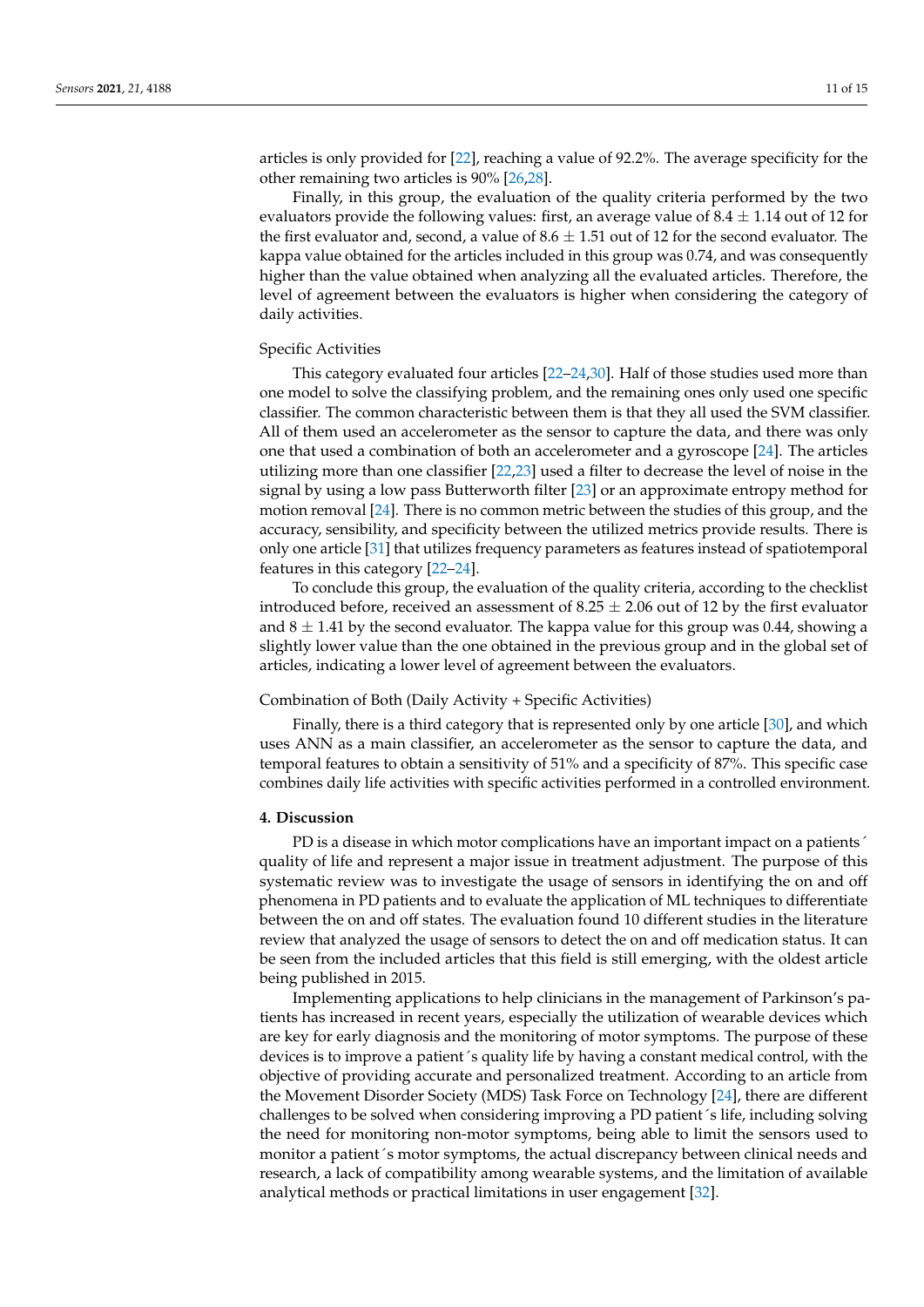articles is only provided for [\[22\]](#page-14-12), reaching a value of 92.2%. The average specificity for the other remaining two articles is 90% [\[26](#page-14-17)[,28\]](#page-14-11).

Finally, in this group, the evaluation of the quality criteria performed by the two evaluators provide the following values: first, an average value of  $8.4 \pm 1.14$  out of 12 for the first evaluator and, second, a value of  $8.6 \pm 1.51$  out of 12 for the second evaluator. The kappa value obtained for the articles included in this group was 0.74, and was consequently higher than the value obtained when analyzing all the evaluated articles. Therefore, the level of agreement between the evaluators is higher when considering the category of daily activities.

#### Specific Activities

This category evaluated four articles [\[22–](#page-14-12)[24](#page-14-16)[,30\]](#page-14-14). Half of those studies used more than one model to solve the classifying problem, and the remaining ones only used one specific classifier. The common characteristic between them is that they all used the SVM classifier. All of them used an accelerometer as the sensor to capture the data, and there was only one that used a combination of both an accelerometer and a gyroscope [\[24\]](#page-14-16). The articles utilizing more than one classifier [\[22](#page-14-12)[,23\]](#page-14-13) used a filter to decrease the level of noise in the signal by using a low pass Butterworth filter [\[23\]](#page-14-13) or an approximate entropy method for motion removal [\[24\]](#page-14-16). There is no common metric between the studies of this group, and the accuracy, sensibility, and specificity between the utilized metrics provide results. There is only one article [\[31\]](#page-14-19) that utilizes frequency parameters as features instead of spatiotemporal features in this category [\[22](#page-14-12)[–24\]](#page-14-16).

To conclude this group, the evaluation of the quality criteria, according to the checklist introduced before, received an assessment of  $8.25 \pm 2.06$  out of 12 by the first evaluator and  $8 \pm 1.41$  by the second evaluator. The kappa value for this group was 0.44, showing a slightly lower value than the one obtained in the previous group and in the global set of articles, indicating a lower level of agreement between the evaluators.

#### Combination of Both (Daily Activity + Specific Activities)

Finally, there is a third category that is represented only by one article [\[30\]](#page-14-14), and which uses ANN as a main classifier, an accelerometer as the sensor to capture the data, and temporal features to obtain a sensitivity of 51% and a specificity of 87%. This specific case combines daily life activities with specific activities performed in a controlled environment.

#### **4. Discussion**

PD is a disease in which motor complications have an important impact on a patients´ quality of life and represent a major issue in treatment adjustment. The purpose of this systematic review was to investigate the usage of sensors in identifying the on and off phenomena in PD patients and to evaluate the application of ML techniques to differentiate between the on and off states. The evaluation found 10 different studies in the literature review that analyzed the usage of sensors to detect the on and off medication status. It can be seen from the included articles that this field is still emerging, with the oldest article being published in 2015.

Implementing applications to help clinicians in the management of Parkinson's patients has increased in recent years, especially the utilization of wearable devices which are key for early diagnosis and the monitoring of motor symptoms. The purpose of these devices is to improve a patient´s quality life by having a constant medical control, with the objective of providing accurate and personalized treatment. According to an article from the Movement Disorder Society (MDS) Task Force on Technology [\[24\]](#page-14-16), there are different challenges to be solved when considering improving a PD patient´s life, including solving the need for monitoring non-motor symptoms, being able to limit the sensors used to monitor a patient 's motor symptoms, the actual discrepancy between clinical needs and research, a lack of compatibility among wearable systems, and the limitation of available analytical methods or practical limitations in user engagement [\[32\]](#page-14-20).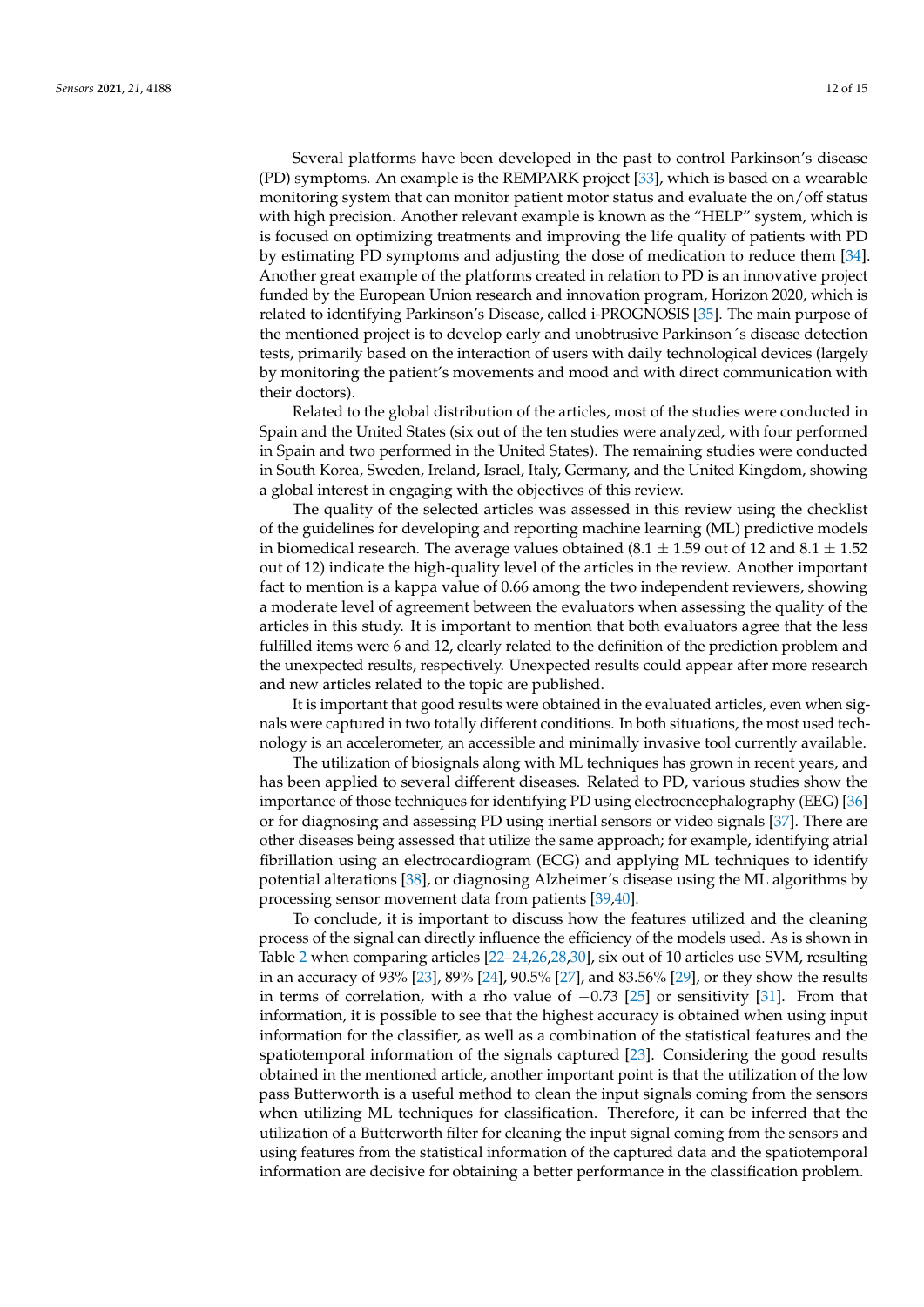Several platforms have been developed in the past to control Parkinson's disease (PD) symptoms. An example is the REMPARK project [\[33\]](#page-14-21), which is based on a wearable monitoring system that can monitor patient motor status and evaluate the on/off status with high precision. Another relevant example is known as the "HELP" system, which is is focused on optimizing treatments and improving the life quality of patients with PD by estimating PD symptoms and adjusting the dose of medication to reduce them [\[34\]](#page-14-22). Another great example of the platforms created in relation to PD is an innovative project funded by the European Union research and innovation program, Horizon 2020, which is related to identifying Parkinson's Disease, called i-PROGNOSIS [\[35\]](#page-14-23). The main purpose of the mentioned project is to develop early and unobtrusive Parkinson´s disease detection tests, primarily based on the interaction of users with daily technological devices (largely by monitoring the patient's movements and mood and with direct communication with their doctors).

Related to the global distribution of the articles, most of the studies were conducted in Spain and the United States (six out of the ten studies were analyzed, with four performed in Spain and two performed in the United States). The remaining studies were conducted in South Korea, Sweden, Ireland, Israel, Italy, Germany, and the United Kingdom, showing a global interest in engaging with the objectives of this review.

The quality of the selected articles was assessed in this review using the checklist of the guidelines for developing and reporting machine learning (ML) predictive models in biomedical research. The average values obtained (8.1  $\pm$  1.59 out of 12 and 8.1  $\pm$  1.52 out of 12) indicate the high-quality level of the articles in the review. Another important fact to mention is a kappa value of 0.66 among the two independent reviewers, showing a moderate level of agreement between the evaluators when assessing the quality of the articles in this study. It is important to mention that both evaluators agree that the less fulfilled items were 6 and 12, clearly related to the definition of the prediction problem and the unexpected results, respectively. Unexpected results could appear after more research and new articles related to the topic are published.

It is important that good results were obtained in the evaluated articles, even when signals were captured in two totally different conditions. In both situations, the most used technology is an accelerometer, an accessible and minimally invasive tool currently available.

The utilization of biosignals along with ML techniques has grown in recent years, and has been applied to several different diseases. Related to PD, various studies show the importance of those techniques for identifying PD using electroencephalography (EEG) [\[36\]](#page-14-24) or for diagnosing and assessing PD using inertial sensors or video signals [\[37\]](#page-14-25). There are other diseases being assessed that utilize the same approach; for example, identifying atrial fibrillation using an electrocardiogram (ECG) and applying ML techniques to identify potential alterations [\[38\]](#page-14-26), or diagnosing Alzheimer's disease using the ML algorithms by processing sensor movement data from patients [\[39,](#page-14-27)[40\]](#page-14-28).

To conclude, it is important to discuss how the features utilized and the cleaning process of the signal can directly influence the efficiency of the models used. As is shown in Table [2](#page-6-0) when comparing articles [\[22](#page-14-12)[–24,](#page-14-16)[26,](#page-14-17)[28,](#page-14-11)[30\]](#page-14-14), six out of 10 articles use SVM, resulting in an accuracy of 93% [\[23\]](#page-14-13), 89% [\[24\]](#page-14-16), 90.5% [\[27\]](#page-14-18), and 83.56% [\[29\]](#page-14-15), or they show the results in terms of correlation, with a rho value of  $-0.73$  [\[25\]](#page-14-10) or sensitivity [\[31\]](#page-14-19). From that information, it is possible to see that the highest accuracy is obtained when using input information for the classifier, as well as a combination of the statistical features and the spatiotemporal information of the signals captured [\[23\]](#page-14-13). Considering the good results obtained in the mentioned article, another important point is that the utilization of the low pass Butterworth is a useful method to clean the input signals coming from the sensors when utilizing ML techniques for classification. Therefore, it can be inferred that the utilization of a Butterworth filter for cleaning the input signal coming from the sensors and using features from the statistical information of the captured data and the spatiotemporal information are decisive for obtaining a better performance in the classification problem.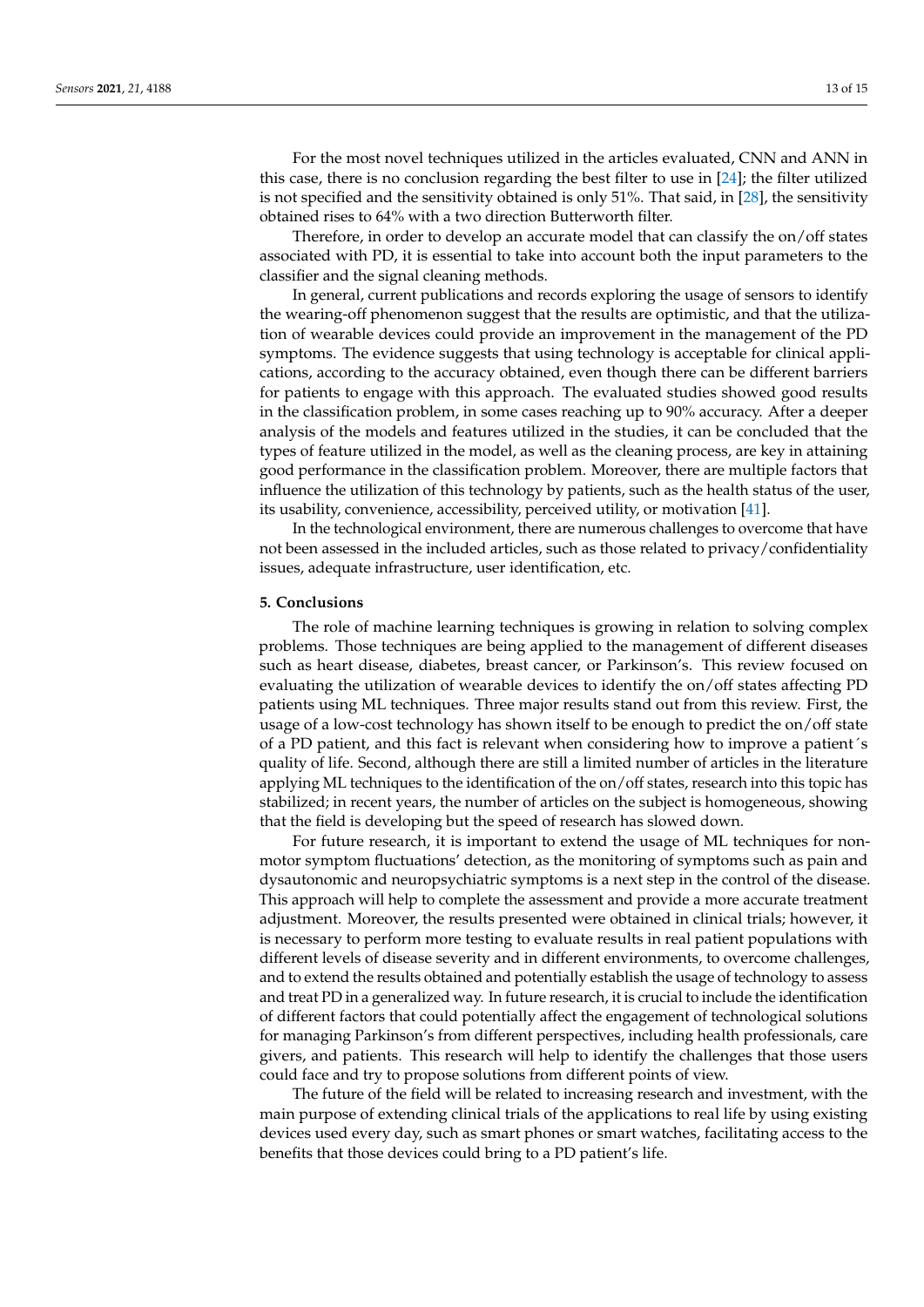For the most novel techniques utilized in the articles evaluated, CNN and ANN in this case, there is no conclusion regarding the best filter to use in [\[24\]](#page-14-16); the filter utilized is not specified and the sensitivity obtained is only 51%. That said, in [\[28\]](#page-14-11), the sensitivity obtained rises to 64% with a two direction Butterworth filter.

Therefore, in order to develop an accurate model that can classify the on/off states associated with PD, it is essential to take into account both the input parameters to the classifier and the signal cleaning methods.

In general, current publications and records exploring the usage of sensors to identify the wearing-off phenomenon suggest that the results are optimistic, and that the utilization of wearable devices could provide an improvement in the management of the PD symptoms. The evidence suggests that using technology is acceptable for clinical applications, according to the accuracy obtained, even though there can be different barriers for patients to engage with this approach. The evaluated studies showed good results in the classification problem, in some cases reaching up to 90% accuracy. After a deeper analysis of the models and features utilized in the studies, it can be concluded that the types of feature utilized in the model, as well as the cleaning process, are key in attaining good performance in the classification problem. Moreover, there are multiple factors that influence the utilization of this technology by patients, such as the health status of the user, its usability, convenience, accessibility, perceived utility, or motivation [\[41\]](#page-14-29).

In the technological environment, there are numerous challenges to overcome that have not been assessed in the included articles, such as those related to privacy/confidentiality issues, adequate infrastructure, user identification, etc.

#### **5. Conclusions**

The role of machine learning techniques is growing in relation to solving complex problems. Those techniques are being applied to the management of different diseases such as heart disease, diabetes, breast cancer, or Parkinson's. This review focused on evaluating the utilization of wearable devices to identify the on/off states affecting PD patients using ML techniques. Three major results stand out from this review. First, the usage of a low-cost technology has shown itself to be enough to predict the on/off state of a PD patient, and this fact is relevant when considering how to improve a patient´s quality of life. Second, although there are still a limited number of articles in the literature applying ML techniques to the identification of the on/off states, research into this topic has stabilized; in recent years, the number of articles on the subject is homogeneous, showing that the field is developing but the speed of research has slowed down.

For future research, it is important to extend the usage of ML techniques for nonmotor symptom fluctuations' detection, as the monitoring of symptoms such as pain and dysautonomic and neuropsychiatric symptoms is a next step in the control of the disease. This approach will help to complete the assessment and provide a more accurate treatment adjustment. Moreover, the results presented were obtained in clinical trials; however, it is necessary to perform more testing to evaluate results in real patient populations with different levels of disease severity and in different environments, to overcome challenges, and to extend the results obtained and potentially establish the usage of technology to assess and treat PD in a generalized way. In future research, it is crucial to include the identification of different factors that could potentially affect the engagement of technological solutions for managing Parkinson's from different perspectives, including health professionals, care givers, and patients. This research will help to identify the challenges that those users could face and try to propose solutions from different points of view.

The future of the field will be related to increasing research and investment, with the main purpose of extending clinical trials of the applications to real life by using existing devices used every day, such as smart phones or smart watches, facilitating access to the benefits that those devices could bring to a PD patient's life.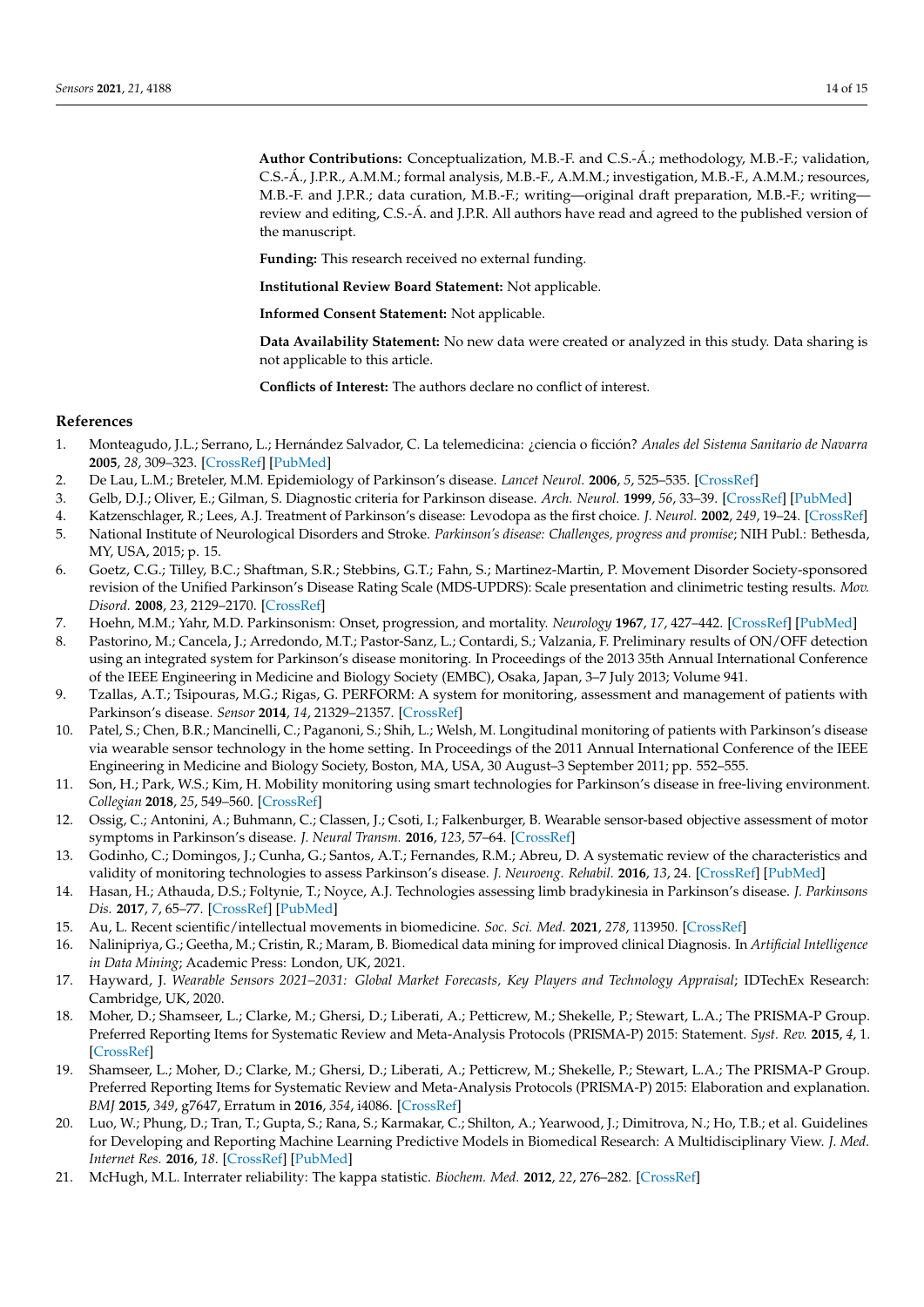**Author Contributions:** Conceptualization, M.B.-F. and C.S.-Á.; methodology, M.B.-F.; validation, C.S.-Á., J.P.R., A.M.M.; formal analysis, M.B.-F., A.M.M.; investigation, M.B.-F., A.M.M.; resources, M.B.-F. and J.P.R.; data curation, M.B.-F.; writing—original draft preparation, M.B.-F.; writing review and editing, C.S.-Á. and J.P.R. All authors have read and agreed to the published version of the manuscript.

**Funding:** This research received no external funding.

**Institutional Review Board Statement:** Not applicable.

**Informed Consent Statement:** Not applicable.

**Data Availability Statement:** No new data were created or analyzed in this study. Data sharing is not applicable to this article.

**Conflicts of Interest:** The authors declare no conflict of interest.

#### **References**

- <span id="page-13-0"></span>1. Monteagudo, J.L.; Serrano, L.; Hernández Salvador, C. La telemedicina: ¿ciencia o ficción? *Anales del Sistema Sanitario de Navarra* **2005**, *28*, 309–323. [\[CrossRef\]](http://doi.org/10.4321/S1137-66272005000500002) [\[PubMed\]](http://www.ncbi.nlm.nih.gov/pubmed/16421609)
- <span id="page-13-1"></span>2. De Lau, L.M.; Breteler, M.M. Epidemiology of Parkinson's disease. *Lancet Neurol.* **2006**, *5*, 525–535. [\[CrossRef\]](http://doi.org/10.1016/S1474-4422(06)70471-9)
- <span id="page-13-2"></span>3. Gelb, D.J.; Oliver, E.; Gilman, S. Diagnostic criteria for Parkinson disease. *Arch. Neurol.* **1999**, *56*, 33–39. [\[CrossRef\]](http://doi.org/10.1001/archneur.56.1.33) [\[PubMed\]](http://www.ncbi.nlm.nih.gov/pubmed/9923759)
- <span id="page-13-3"></span>4. Katzenschlager, R.; Lees, A.J. Treatment of Parkinson's disease: Levodopa as the first choice. *J. Neurol.* **2002**, *249*, 19–24. [\[CrossRef\]](http://doi.org/10.1007/s00415-002-1204-4)
- <span id="page-13-4"></span>5. National Institute of Neurological Disorders and Stroke. *Parkinson's disease: Challenges, progress and promise*; NIH Publ.: Bethesda, MY, USA, 2015; p. 15.
- <span id="page-13-5"></span>6. Goetz, C.G.; Tilley, B.C.; Shaftman, S.R.; Stebbins, G.T.; Fahn, S.; Martinez-Martin, P. Movement Disorder Society-sponsored revision of the Unified Parkinson's Disease Rating Scale (MDS-UPDRS): Scale presentation and clinimetric testing results. *Mov. Disord.* **2008**, *23*, 2129–2170. [\[CrossRef\]](http://doi.org/10.1002/mds.22340)
- <span id="page-13-6"></span>7. Hoehn, M.M.; Yahr, M.D. Parkinsonism: Onset, progression, and mortality. *Neurology* **1967**, *17*, 427–442. [\[CrossRef\]](http://doi.org/10.1212/WNL.17.5.427) [\[PubMed\]](http://www.ncbi.nlm.nih.gov/pubmed/6067254)
- <span id="page-13-7"></span>8. Pastorino, M.; Cancela, J.; Arredondo, M.T.; Pastor-Sanz, L.; Contardi, S.; Valzania, F. Preliminary results of ON/OFF detection using an integrated system for Parkinson's disease monitoring. In Proceedings of the 2013 35th Annual International Conference of the IEEE Engineering in Medicine and Biology Society (EMBC), Osaka, Japan, 3–7 July 2013; Volume 941.
- 9. Tzallas, A.T.; Tsipouras, M.G.; Rigas, G. PERFORM: A system for monitoring, assessment and management of patients with Parkinson's disease. *Sensor* **2014**, *14*, 21329–21357. [\[CrossRef\]](http://doi.org/10.3390/s141121329)
- 10. Patel, S.; Chen, B.R.; Mancinelli, C.; Paganoni, S.; Shih, L.; Welsh, M. Longitudinal monitoring of patients with Parkinson's disease via wearable sensor technology in the home setting. In Proceedings of the 2011 Annual International Conference of the IEEE Engineering in Medicine and Biology Society, Boston, MA, USA, 30 August–3 September 2011; pp. 552–555.
- 11. Son, H.; Park, W.S.; Kim, H. Mobility monitoring using smart technologies for Parkinson's disease in free-living environment. *Collegian* **2018**, *25*, 549–560. [\[CrossRef\]](http://doi.org/10.1016/j.colegn.2017.11.005)
- 12. Ossig, C.; Antonini, A.; Buhmann, C.; Classen, J.; Csoti, I.; Falkenburger, B. Wearable sensor-based objective assessment of motor symptoms in Parkinson's disease. *J. Neural Transm.* **2016**, *123*, 57–64. [\[CrossRef\]](http://doi.org/10.1007/s00702-015-1439-8)
- 13. Godinho, C.; Domingos, J.; Cunha, G.; Santos, A.T.; Fernandes, R.M.; Abreu, D. A systematic review of the characteristics and validity of monitoring technologies to assess Parkinson's disease. *J. Neuroeng. Rehabil.* **2016**, *13*, 24. [\[CrossRef\]](http://doi.org/10.1186/s12984-016-0136-7) [\[PubMed\]](http://www.ncbi.nlm.nih.gov/pubmed/26969628)
- <span id="page-13-8"></span>14. Hasan, H.; Athauda, D.S.; Foltynie, T.; Noyce, A.J. Technologies assessing limb bradykinesia in Parkinson's disease. *J. Parkinsons Dis.* **2017**, *7*, 65–77. [\[CrossRef\]](http://doi.org/10.3233/JPD-160878) [\[PubMed\]](http://www.ncbi.nlm.nih.gov/pubmed/28222539)
- <span id="page-13-9"></span>15. Au, L. Recent scientific/intellectual movements in biomedicine. *Soc. Sci. Med.* **2021**, *278*, 113950. [\[CrossRef\]](http://doi.org/10.1016/j.socscimed.2021.113950)
- <span id="page-13-10"></span>16. Nalinipriya, G.; Geetha, M.; Cristin, R.; Maram, B. Biomedical data mining for improved clinical Diagnosis. In *Artificial Intelligence in Data Mining*; Academic Press: London, UK, 2021.
- <span id="page-13-11"></span>17. Hayward, J. *Wearable Sensors 2021–2031: Global Market Forecasts, Key Players and Technology Appraisal*; IDTechEx Research: Cambridge, UK, 2020.
- <span id="page-13-12"></span>18. Moher, D.; Shamseer, L.; Clarke, M.; Ghersi, D.; Liberati, A.; Petticrew, M.; Shekelle, P.; Stewart, L.A.; The PRISMA-P Group. Preferred Reporting Items for Systematic Review and Meta-Analysis Protocols (PRISMA-P) 2015: Statement. *Syst. Rev.* **2015**, *4*, 1. [\[CrossRef\]](http://doi.org/10.1186/2046-4053-4-1)
- <span id="page-13-13"></span>19. Shamseer, L.; Moher, D.; Clarke, M.; Ghersi, D.; Liberati, A.; Petticrew, M.; Shekelle, P.; Stewart, L.A.; The PRISMA-P Group. Preferred Reporting Items for Systematic Review and Meta-Analysis Protocols (PRISMA-P) 2015: Elaboration and explanation. *BMJ* **2015**, *349*, g7647, Erratum in **2016**, *354*, i4086. [\[CrossRef\]](http://doi.org/10.1136/bmj.g7647)
- <span id="page-13-14"></span>20. Luo, W.; Phung, D.; Tran, T.; Gupta, S.; Rana, S.; Karmakar, C.; Shilton, A.; Yearwood, J.; Dimitrova, N.; Ho, T.B.; et al. Guidelines for Developing and Reporting Machine Learning Predictive Models in Biomedical Research: A Multidisciplinary View. *J. Med. Internet Res.* **2016**, *18*. [\[CrossRef\]](http://doi.org/10.2196/jmir.5870) [\[PubMed\]](http://www.ncbi.nlm.nih.gov/pubmed/27986644)
- <span id="page-13-15"></span>21. McHugh, M.L. Interrater reliability: The kappa statistic. *Biochem. Med.* **2012**, *22*, 276–282. [\[CrossRef\]](http://doi.org/10.11613/BM.2012.031)